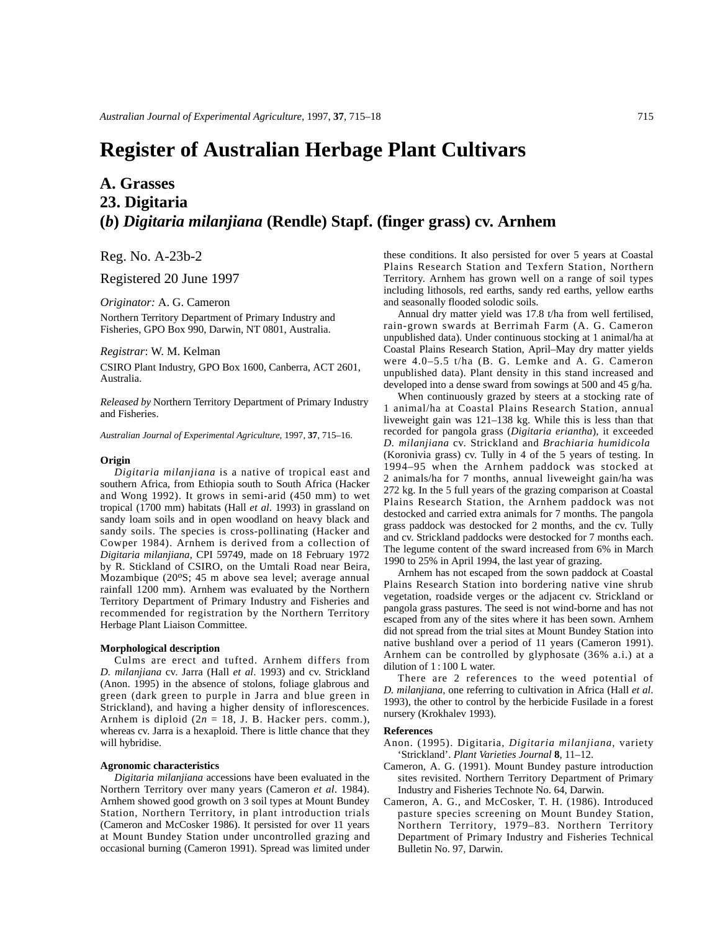# **Register of Australian Herbage Plant Cultivars**

# **A. Grasses 23. Digitaria (***b***)** *Digitaria milanjiana* **(Rendle) Stapf. (finger grass) cv. Arnhem**

Reg. No. A-23b-2

Registered 20 June 1997

### *Originator:* A. G. Cameron

Northern Territory Department of Primary Industry and Fisheries, GPO Box 990, Darwin, NT 0801, Australia.

## *Registrar*: W. M. Kelman

CSIRO Plant Industry, GPO Box 1600, Canberra, ACT 2601, Australia.

*Released by* Northern Territory Department of Primary Industry and Fisheries.

*Australian Journal of Experimental Agriculture*, 1997, **37**, 715–16.

#### **Origin**

*Digitaria milanjiana* is a native of tropical east and southern Africa, from Ethiopia south to South Africa (Hacker and Wong 1992). It grows in semi-arid (450 mm) to wet tropical (1700 mm) habitats (Hall *et al*. 1993) in grassland on sandy loam soils and in open woodland on heavy black and sandy soils. The species is cross-pollinating (Hacker and Cowper 1984). Arnhem is derived from a collection of *Digitaria milanjiana*, CPI 59749, made on 18 February 1972 by R. Stickland of CSIRO, on the Umtali Road near Beira, Mozambique (20°S; 45 m above sea level; average annual rainfall 1200 mm). Arnhem was evaluated by the Northern Territory Department of Primary Industry and Fisheries and recommended for registration by the Northern Territory Herbage Plant Liaison Committee.

#### **Morphological description**

Culms are erect and tufted. Arnhem differs from *D. milanjiana* cv. Jarra (Hall *et al*. 1993) and cv. Strickland (Anon. 1995) in the absence of stolons, foliage glabrous and green (dark green to purple in Jarra and blue green in Strickland), and having a higher density of inflorescences. Arnhem is diploid  $(2n = 18, J. B. Hacker pers. comm.),$ whereas cv. Jarra is a hexaploid. There is little chance that they will hybridise.

#### **Agronomic characteristics**

*Digitaria milanjiana* accessions have been evaluated in the Northern Territory over many years (Cameron *et al*. 1984). Arnhem showed good growth on 3 soil types at Mount Bundey Station, Northern Territory, in plant introduction trials (Cameron and McCosker 1986). It persisted for over 11 years at Mount Bundey Station under uncontrolled grazing and occasional burning (Cameron 1991). Spread was limited under these conditions. It also persisted for over 5 years at Coastal Plains Research Station and Texfern Station, Northern Territory. Arnhem has grown well on a range of soil types including lithosols, red earths, sandy red earths, yellow earths and seasonally flooded solodic soils.

Annual dry matter yield was 17.8 t/ha from well fertilised, rain-grown swards at Berrimah Farm (A. G. Cameron unpublished data). Under continuous stocking at 1 animal/ha at Coastal Plains Research Station, April–May dry matter yields were 4.0–5.5 t/ha (B. G. Lemke and A. G. Cameron unpublished data). Plant density in this stand increased and developed into a dense sward from sowings at 500 and 45 g/ha.

When continuously grazed by steers at a stocking rate of 1 animal/ha at Coastal Plains Research Station, annual liveweight gain was 121–138 kg. While this is less than that recorded for pangola grass (*Digitaria eriantha*), it exceeded *D. milanjiana* cv. Strickland and *Brachiaria humidicola* (Koronivia grass) cv. Tully in 4 of the 5 years of testing. In 1994–95 when the Arnhem paddock was stocked at 2 animals/ha for 7 months, annual liveweight gain/ha was 272 kg. In the 5 full years of the grazing comparison at Coastal Plains Research Station, the Arnhem paddock was not destocked and carried extra animals for 7 months. The pangola grass paddock was destocked for 2 months, and the cv. Tully and cv. Strickland paddocks were destocked for 7 months each. The legume content of the sward increased from 6% in March 1990 to 25% in April 1994, the last year of grazing.

Arnhem has not escaped from the sown paddock at Coastal Plains Research Station into bordering native vine shrub vegetation, roadside verges or the adjacent cv. Strickland or pangola grass pastures. The seed is not wind-borne and has not escaped from any of the sites where it has been sown. Arnhem did not spread from the trial sites at Mount Bundey Station into native bushland over a period of 11 years (Cameron 1991). Arnhem can be controlled by glyphosate (36% a.i.) at a dilution of 1 : 100 L water.

There are 2 references to the weed potential of *D. milanjiana*, one referring to cultivation in Africa (Hall *et al*. 1993), the other to control by the herbicide Fusilade in a forest nursery (Krokhalev 1993).

#### **References**

Anon. (1995). Digitaria, *Digitaria milanjiana*, variety 'Strickland'. *Plant Varieties Journal* **8**, 11–12.

- Cameron, A. G. (1991). Mount Bundey pasture introduction sites revisited. Northern Territory Department of Primary Industry and Fisheries Technote No. 64, Darwin.
- Cameron, A. G., and McCosker, T. H. (1986). Introduced pasture species screening on Mount Bundey Station, Northern Territory, 1979–83. Northern Territory Department of Primary Industry and Fisheries Technical Bulletin No. 97, Darwin.